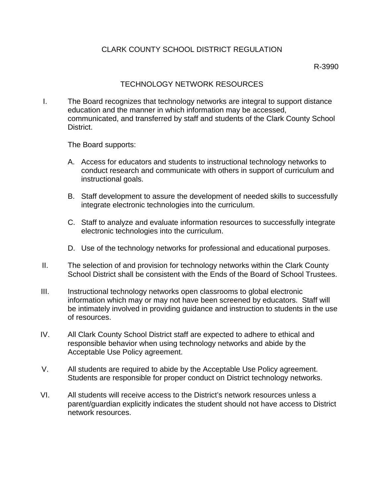## CLARK COUNTY SCHOOL DISTRICT REGULATION

R-3990

## TECHNOLOGY NETWORK RESOURCES

I. The Board recognizes that technology networks are integral to support distance education and the manner in which information may be accessed, communicated, and transferred by staff and students of the Clark County School District.

The Board supports:

- A. Access for educators and students to instructional technology networks to conduct research and communicate with others in support of curriculum and instructional goals.
- B. Staff development to assure the development of needed skills to successfully integrate electronic technologies into the curriculum.
- C. Staff to analyze and evaluate information resources to successfully integrate electronic technologies into the curriculum.
- D. Use of the technology networks for professional and educational purposes.
- II. The selection of and provision for technology networks within the Clark County School District shall be consistent with the Ends of the Board of School Trustees.
- III. Instructional technology networks open classrooms to global electronic information which may or may not have been screened by educators. Staff will be intimately involved in providing guidance and instruction to students in the use of resources.
- IV. All Clark County School District staff are expected to adhere to ethical and responsible behavior when using technology networks and abide by the Acceptable Use Policy agreement.
- V. All students are required to abide by the Acceptable Use Policy agreement. Students are responsible for proper conduct on District technology networks.
- VI. All students will receive access to the District's network resources unless a parent/guardian explicitly indicates the student should not have access to District network resources.